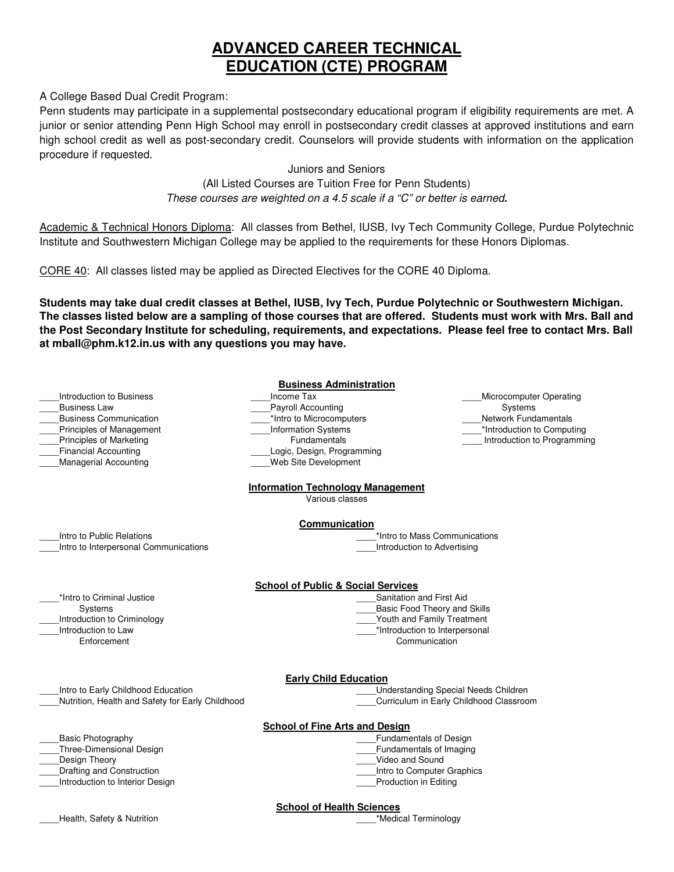# **ADVANCED CAREER TECHNICAL EDUCATION (CTE) PROGRAM**

A College Based Dual Credit Program:

Penn students may participate in a supplemental postsecondary educational program if eligibility requirements are met. A junior or senior attending Penn High School may enroll in postsecondary credit classes at approved institutions and earn high school credit as well as post-secondary credit. Counselors will provide students with information on the application procedure if requested.

## Juniors and Seniors

## (All Listed Courses are Tuition Free for Penn Students) These courses are weighted on a 4.5 scale if a "C" or better is earned**.**

Academic & Technical Honors Diploma: All classes from Bethel, IUSB, Ivy Tech Community College, Purdue Polytechnic Institute and Southwestern Michigan College may be applied to the requirements for these Honors Diplomas.

CORE 40: All classes listed may be applied as Directed Electives for the CORE 40 Diploma.

**Students may take dual credit classes at Bethel, IUSB, Ivy Tech, Purdue Polytechnic or Southwestern Michigan. The classes listed below are a sampling of those courses that are offered. Students must work with Mrs. Ball and the Post Secondary Institute for scheduling, requirements, and expectations. Please feel free to contact Mrs. Ball at mball@phm.k12.in.us with any questions you may have.** 

| <b>Business Administration</b> |
|--------------------------------|
|                                |

\_\_\_\_Income Tax Payroll Accounting \*Intro to Microcomputers \_\_\_\_Information Systems Fundamentals Logic, Design, Programming \_\_\_\_Web Site Development

\_\_\_\_Microcomputer Operating Systems \_\_\_\_Network Fundamentals \*Introduction to Computing \_\_\_\_ Introduction to Programming

## **Information Technology Management**

Various classes

## **Communication**

\_\_\_\_Intro to Public Relations \_\_\_\_Intro to Interpersonal Communications

\*Intro to Criminal Justice Systems \_\_\_\_Introduction to Criminology Introduction to Law Enforcement

\_\_\_\_Introduction to Business

\_\_\_\_Business Communication \_\_\_\_Principles of Management \_\_\_\_Principles of Marketing \_\_\_\_Financial Accounting \_\_\_\_Managerial Accounting

\_\_\_\_Business Law

Introduction to Advertising

## **School of Public & Social Services**

- Sanitation and First Aid
	- Basic Food Theory and Skills

\_\_\_\_\*Intro to Mass Communications

- Youth and Family Treatment
- \_\*Introduction to Interpersonal
	- Communication

## **Early Child Education**

\_\_\_\_Intro to Early Childhood Education

\_\_\_\_Nutrition, Health and Safety for Early Childhood

### **School of Fine Arts and Design**

- \_\_\_\_Basic Photography
- \_\_\_\_Three-Dimensional Design
- Design Theory
- \_\_\_\_Drafting and Construction
- \_\_\_\_Introduction to Interior Design

\_\_\_\_Understanding Special Needs Children \_\_\_\_Curriculum in Early Childhood Classroom

- \_\_\_\_Fundamentals of Design
- \_\_\_\_Fundamentals of Imaging \_\_\_\_Video and Sound
- \_\_\_\_Intro to Computer Graphics
- 

## \_\_\_\_Production in Editing

#### **School of Health Sciences**

Lealth, Safety & Nutrition **Exercise 2018** Medical Terminology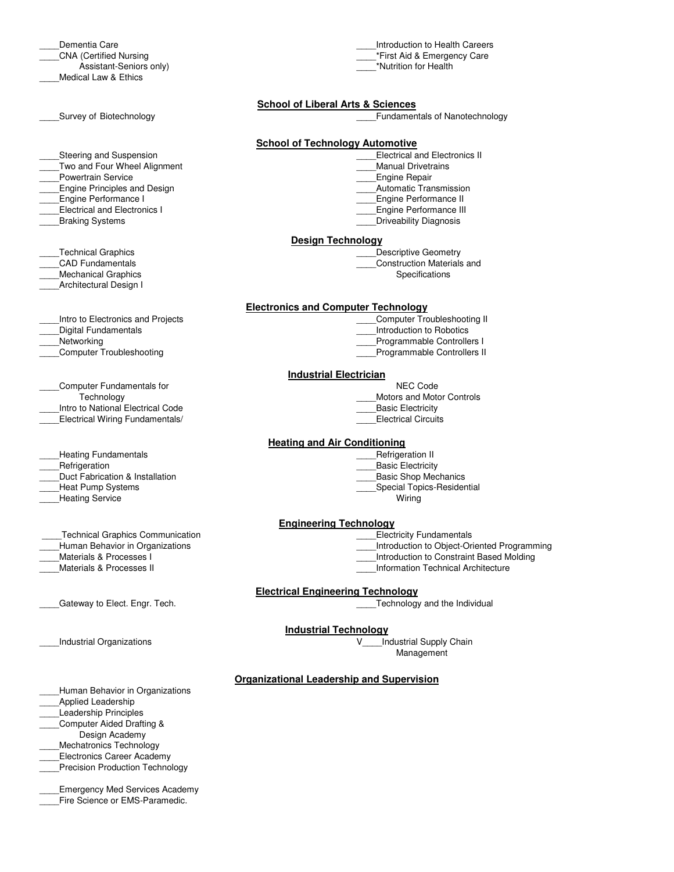Dementia Care \_\_\_\_CNA (Certified Nursing Assistant-Seniors only) Medical Law & Ethics

Steering and Suspension

Two and Four Wheel Alignment

\_\_\_\_Powertrain Service

\_\_\_\_Engine Principles and Design

- \_\_\_\_Engine Performance I
- Electrical and Electronics I
- \_\_\_\_Braking Systems

\_\_\_\_Technical Graphics

\_\_\_\_CAD Fundamentals

- Mechanical Graphics
- \_\_\_\_Architectural Design I
- \_\_\_\_Intro to Electronics and Projects

Digital Fundamentals

Networking

\_\_\_\_Computer Troubleshooting

\_\_\_\_Computer Fundamentals for

- **Technology**
- Intro to National Electrical Code
- Electrical Wiring Fundamentals/

Heating Fundamentals

- **Refrigeration**
- Duct Fabrication & Installation
- \_\_\_\_Heat Pump Systems
- Heating Service

Technical Graphics Communication

- Human Behavior in Organizations
- Materials & Processes I
- \_\_\_\_Materials & Processes II

Gateway to Elect. Engr. Tech. **Example 20** Technology and the Individual and the Individual

\_\_\_\_Human Behavior in Organizations

Applied Leadership

Leadership Principles

- \_\_\_\_Computer Aided Drafting &
- Design Academy
- \_\_\_\_Mechatronics Technology
- Electronics Career Academy
- Precision Production Technology

\_\_\_\_Emergency Med Services Academy Fire Science or EMS-Paramedic.

\_\_\_\_Introduction to Health Careers \*First Aid & Emergency Care \_\_\_\_\*Nutrition for Health

#### **School of Liberal Arts & Sciences**

#### **School of Technology Automotive**

- Electrical and Electronics II
- Manual Drivetrains
- \_\_\_\_Engine Repair
- \_\_\_\_Automatic Transmission
- \_<br>Engine Performance II
- \_\_\_\_Engine Performance III Driveability Diagnosis
- 

#### **Design Technology**

- Descriptive Geometry
- \_\_\_\_Construction Materials and
	- Specifications

#### **Electronics and Computer Technology**

- \_\_\_\_Computer Troubleshooting II
- \_\_\_\_Introduction to Robotics
- Programmable Controllers I
- \_\_\_\_Programmable Controllers II

#### **Industrial Electrician**

- NEC Code
- \_\_\_\_Motors and Motor Controls
- \_\_\_\_Basic Electricity
- Electrical Circuits

#### **Heating and Air Conditioning**

- \_\_\_\_Refrigeration II
- \_\_\_\_Basic Electricity
- \_\_\_\_Basic Shop Mechanics
- \_\_\_\_Special Topics-Residential
	- Wiring

#### **Engineering Technology**

- Electricity Fundamentals
- \_\_\_\_Introduction to Object-Oriented Programming
- \_\_\_\_Introduction to Constraint Based Molding
- \_\_\_\_Information Technical Architecture

#### **Electrical Engineering Technology**

#### **Industrial Technology**

\_\_\_\_Industrial Organizations V\_\_\_\_Industrial Supply Chain **Management** 

#### **Organizational Leadership and Supervision**

Survey of Biotechnology **Example 20** Survey of Biotechnology **Example 20** Survey of Nanotechnology